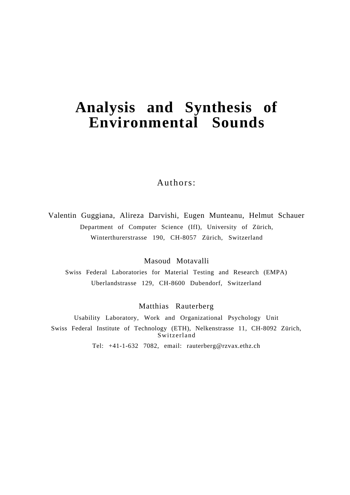# **Analysis and Synthesis of Environmental Sounds**

# Authors:

Valentin Guggiana, Alireza Darvishi, Eugen Munteanu, Helmut Schauer Department of Computer Science (IfI), University of Zürich, Winterthurerstrasse 190, CH-8057 Zürich, Switzerland

Masoud Motavalli

Swiss Federal Laboratories for Material Testing and Research (EMPA) Uberlandstrasse 129, CH-8600 Dubendorf, Switzerland

## Matthias Rauterberg

Usability Laboratory, Work and Organizational Psychology Unit Swiss Federal Institute of Technology (ETH), Nelkenstrasse 11, CH-8092 Zürich, Switzerland

Tel: +41-1-632 7082, email: rauterberg@rzvax.ethz.ch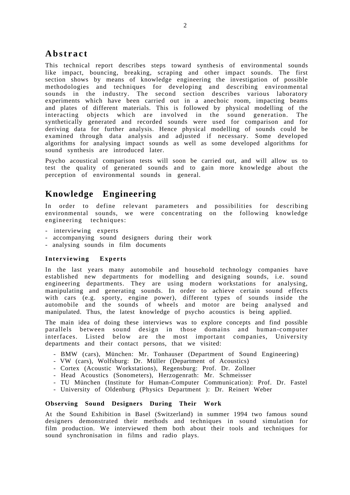# **Abstract**

This technical report describes steps toward synthesis of environmental sounds like impact, bouncing, breaking, scraping and other impact sounds. The first section shows by means of knowledge engineering the investigation of possible methodologies and techniques for developing and describing environmental sounds in the industry. The second section describes various laboratory experiments which have been carried out in a anechoic room, impacting beams and plates of different materials. This is followed by physical modelling of the interacting objects which are involved in the sound generation. The synthetically generated and recorded sounds were used for comparison and for deriving data for further analysis. Hence physical modelling of sounds could be examined through data analysis and adjusted if necessary. Some developed algorithms for analysing impact sounds as well as some developed algorithms for sound synthesis are introduced later.

Psycho acoustical comparison tests will soon be carried out, and will allow us to test the quality of generated sounds and to gain more knowledge about the perception of environmental sounds in general.

# **Knowledge Engineering**

In order to define relevant parameters and possibilities for describing environmental sounds, we were concentrating on the following knowledge engineering techniques:

- interviewing experts
- accompanying sound designers during their work
- analysing sounds in film documents

#### **Interviewing Experts**

In the last years many automobile and household technology companies have established new departments for modelling and designing sounds, i.e. sound engineering departments. They are using modern workstations for analysing, manipulating and generating sounds. In order to achieve certain sound effects with cars (e.g. sporty, engine power), different types of sounds inside the automobile and the sounds of wheels and motor are being analysed and manipulated. Thus, the latest knowledge of psycho acoustics is being applied.

The main idea of doing these interviews was to explore concepts and find possible parallels between sound design in those domains and human-computer interfaces. Listed below are the most important companies, University departments and their contact persons, that we visited:

- BMW (cars), München: Mr. Tonhauser (Department of Sound Engineering)
- VW (cars), Wolfsburg: Dr. Müller (Department of Acoustics)
- Cortex (Acoustic Workstations), Regensburg: Prof. Dr. Zollner
- Head Acoustics (Sonometers), Herzogenrath: Mr. Schmeisser
- TU München (Institute for Human-Computer Communication): Prof. Dr. Fastel
- University of Oldenburg (Physics Department ): Dr. Reinert Weber

#### **Observing Sound Designers During Their Work**

At the Sound Exhibition in Basel (Switzerland) in summer 1994 two famous sound designers demonstrated their methods and techniques in sound simulation for film production. We interviewed them both about their tools and techniques for sound synchronisation in films and radio plays.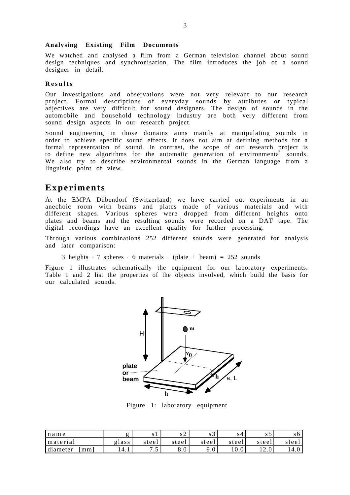#### **Analysing Existing Film Documents**

We watched and analysed a film from a German television channel about sound design techniques and synchronisation. The film introduces the job of a sound designer in detail.

#### **Results**

Our investigations and observations were not very relevant to our research project. Formal descriptions of everyday sounds by attributes or typical adjectives are very difficult for sound designers. The design of sounds in the automobile and household technology industry are both very different from sound design aspects in our research project.

Sound engineering in those domains aims mainly at manipulating sounds in order to achieve specific sound effects. It does not aim at defining methods for a formal representation of sound. In contrast, the scope of our research project is to define new algorithms for the automatic generation of environmental sounds. We also try to describe environmental sounds in the German language from a linguistic point of view.

### **Experiments**

At the EMPA Dübendorf (Switzerland) we have carried out experiments in an anechoic room with beams and plates made of various materials and with different shapes. Various spheres were dropped from different heights onto plates and beams and the resulting sounds were recorded on a DAT tape. The digital recordings have an excellent quality for further processing.

Through various combinations 252 different sounds were generated for analysis and later comparison:

3 heights  $\cdot$  7 spheres  $\cdot$  6 materials  $\cdot$  (plate + beam) = 252 sounds

Figure 1 illustrates schematically the equipment for our laboratory experiments. Table 1 and 2 list the properties of the objects involved, which build the basis for our calculated sounds.



Figure 1: laboratory equipment

| name           |       | 91                   | ے د                           | ر د             |         | ر د          | υo    |
|----------------|-------|----------------------|-------------------------------|-----------------|---------|--------------|-------|
| material       | glass | steel                | steel                         | steel           | steel   | steel        | steel |
| diameter<br>mm | 14.1  | –<br>$\cdot$ $\cdot$ | $\mathbf{v} \cdot \mathbf{v}$ | $\Omega$<br>9.U | 1 V . V | $1 \angle 0$ | 14.U  |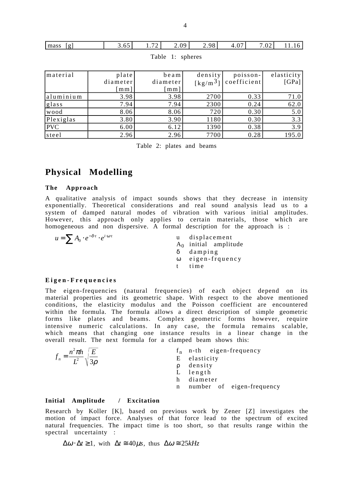| [g]<br>mass      | 3.65     | 1.72<br>2.09          | 2.98                                           | 4.07        | 7.02<br>11.16 |  |  |  |
|------------------|----------|-----------------------|------------------------------------------------|-------------|---------------|--|--|--|
| Table 1: spheres |          |                       |                                                |             |               |  |  |  |
|                  |          |                       |                                                |             |               |  |  |  |
| material         | plate    | beam                  | density                                        | poisson-    | elasticity    |  |  |  |
|                  | diameter | diameter              | $\lfloor \frac{\text{kg}}{\text{m}^3} \rfloor$ | coefficient | [GPa]         |  |  |  |
|                  | mm]      | $\lceil$ m m $\rceil$ |                                                |             |               |  |  |  |
| laluminium       | 3.98     | 3.98                  | 2700                                           | 0.33        | 71.0          |  |  |  |
| glass            | 7.94     | 7.94                  | 2300                                           | 0.24        | 62.0          |  |  |  |
| wood             | 8.06     | 8.06                  | 720                                            | 0.30        | 5.0           |  |  |  |
| Plexiglas        | 3.80     | 3.90                  | 1180                                           | 0.30        | 3.3           |  |  |  |
| PVC              | 6.00     | 6.12                  | 1390                                           | 0.38        | 3.9           |  |  |  |
| steel            | 2.96     | 2.96                  | 7700                                           | 0.28        | 195.0         |  |  |  |

Table 2: plates and beams

# **Physical Modelling**

#### **The Approach**

A qualitative analysis of impact sounds shows that they decrease in intensity exponentially. Theoretical considerations and real sound analysis lead us to a system of damped natural modes of vibration with various initial amplitudes. However, this approach only applies to certain materials, those which are homogeneous and non dispersive. A formal description for the approach is :

 $u = \sum A_0 \cdot e^{-\delta \cdot t} \cdot e^{i \cdot \omega \cdot t}$  u displacement A0 initial amplitude δ damping ω eigen-frquency t time

#### **Eigen-Frequencies**

The eigen-frequencies (natural frequencies) of each object depend on its material properties and its geometric shape. With respect to the above mentioned conditions, the elasticity modulus and the Poisson coefficient are encountered within the formula. The formula allows a direct description of simple geometric forms like plates and beams. Complex geometric forms however, require intensive numeric calculations. In any case, the formula remains scalable, which means that changing one instance results in a linear change in the overall result. The next formula for a clamped beam shows this:

|                                                      |   |              |  | $f_n$ n-th eigen-frequency |
|------------------------------------------------------|---|--------------|--|----------------------------|
| $f_n = \frac{n^2 \pi h}{L^2} \sqrt{\frac{E}{3\rho}}$ |   | E elasticity |  |                            |
|                                                      |   | p density    |  |                            |
|                                                      |   | L length     |  |                            |
|                                                      |   | h diameter   |  |                            |
|                                                      | n |              |  | number of eigen-frequency  |
|                                                      |   |              |  |                            |

#### **Initial Amplitude / Excitation**

Research by Koller [K], based on previous work by Zener [Z] investigates the motion of impact force. Analyses of that force lead to the spectrum of excited natural frequencies. The impact time is too short, so that results range within the spectral uncertainty :

 $\Delta \omega \cdot \Delta t \ge 1$ , with  $\Delta t \approx 40 \mu s$ , thus  $\Delta \omega \approx 25 kHz$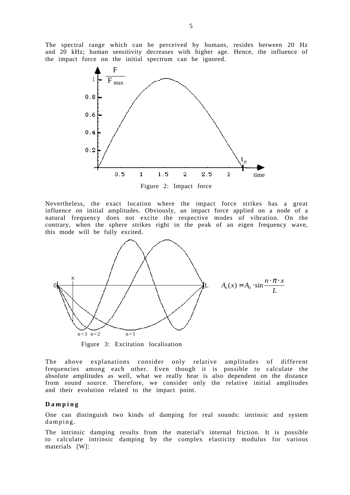The spectral range which can be perceived by humans, resides between 20 Hz and 20 kHz; human sensitivity decreases with higher age. Hence, the influence of the impact force on the initial spectrum can be ignored.



Nevertheless, the exact location where the impact force strikes has a great influence on initial amplitudes. Obviously, an impact force applied on a node of a natural frequency does not excite the respective modes of vibration. On the contrary, when the sphere strikes right in the peak of an eigen frequency wave, this mode will be fully excited.



Figure 3: Excitation localisation

The above explanations consider only relative amplitudes of different frequencies among each other. Even though it is possible to calculate the absolute amplitudes as well, what we really hear is also dependent on the distance from sound source. Therefore, we consider only the relative initial amplitudes and their evolution related to the impact point.

#### **Damping**

One can distinguish two kinds of damping for real sounds: intrinsic and system damping.

The intrinsic damping results from the material's internal friction. It is possible to calculate intrinsic damping by the complex elasticity modulus for various materials [W]: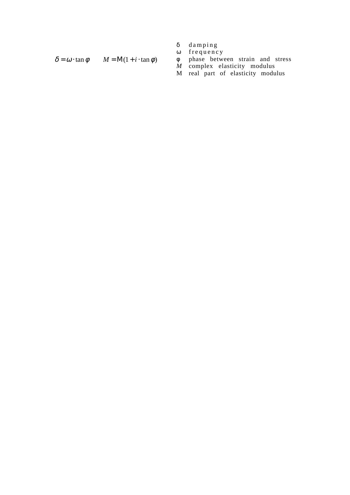$$
\delta \quad \text{damping}
$$

$$
\quad\hbox{ or }\quad\hbox{frequency}
$$

$$
\text{tan }\phi \qquad M = M(1 + i \cdot \tan \phi) \qquad \phi \qquad \text{phase between strain and stress}
$$

$$
M
$$
 complex elasticity modulus

M real part of elasticity modulus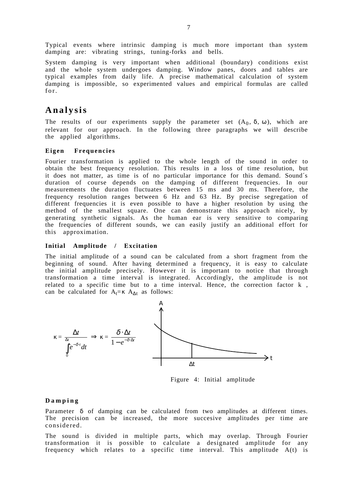Typical events where intrinsic damping is much more important than system damping are: vibrating strings, tuning-forks and bells.

System damping is very important when additional (boundary) conditions exist and the whole system undergoes damping. Window panes, doors and tables are typical examples from daily life. A precise mathematical calculation of system damping is impossible, so experimented values and empirical formulas are called for.

# **Analysis**

The results of our experiments supply the parameter set  $(A_0, \delta, \omega)$ , which are relevant for our approach. In the following three paragraphs we will describe the applied algorithms.

#### **Eigen Frequencies**

Fourier transformation is applied to the whole length of the sound in order to obtain the best frequency resolution. This results in a loss of time resolution, but it does not matter, as time is of no particular importance for this demand. Sound´s duration of course depends on the damping of different frequencies. In our measurements the duration fluctuates between 15 ms and 30 ms. Therefore, the frequency resolution ranges between 6 Hz and 63 Hz. By precise segregation of different frequencies it is even possible to have a higher resolution by using the method of the smallest square. One can demonstrate this approach nicely, by generating synthetic signals. As the human ear is very sensitive to comparing the frequencies of different sounds, we can easily justify an additional effort for this approximation.

#### **Initial Amplitude / Excitation**

The initial amplitude of a sound can be calculated from a short fragment from the beginning of sound. After having determined a frequency, it is easy to calculate the initial amplitude precisely. However it is important to notice that through transformation a time interval is integrated. Accordingly, the amplitude is not related to a specific time but to a time interval. Hence, the correction factor k , can be calculated for  $A_t = \kappa A_{\Delta t}$  as follows:



Figure 4: Initial amplitude

#### **Damping**

Parameter δ of damping can be calculated from two amplitudes at different times. The precision can be increased, the more succesive amplitudes per time are considered.

The sound is divided in multiple parts, which may overlap. Through Fourier transformation it is possible to calculate a designated amplitude for any frequency which relates to a specific time interval. This amplitude A(t) is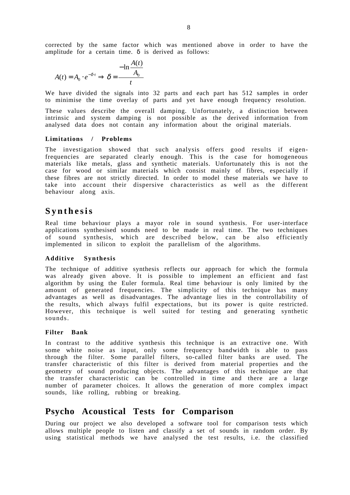corrected by the same factor which was mentioned above in order to have the amplitude for a certain time. δ is derived as follows:

$$
A(t) = A_0 \cdot e^{-\delta \cdot t} \Rightarrow \delta = \frac{-\ln \frac{A(t)}{A_0}}{t}
$$

We have divided the signals into 32 parts and each part has 512 samples in order to minimise the time overlay of parts and yet have enough frequency resolution.

These values describe the overall damping. Unfortunately, a distinction between intrinsic and system damping is not possible as the derived information from analysed data does not contain any information about the original materials.

#### **Limitations / Problems**

The investigation showed that such analysis offers good results if eigenfrequencies are separated clearly enough. This is the case for homogeneous materials like metals, glass and synthetic materials. Unfortunately this is not the case for wood or similar materials which consist mainly of fibres, especially if these fibres are not strictly directed. In order to model these materials we have to take into account their dispersive characteristics as well as the different behaviour along axis.

## **Synthesis**

Real time behaviour plays a mayor role in sound synthesis. For user-interface applications synthesised sounds need to be made in real time. The two techniques of sound synthesis, which are described below, can be also efficiently implemented in silicon to exploit the parallelism of the algorithms.

#### **Additive Synthesis**

The technique of additive synthesis reflects our approach for which the formula was already given above. It is possible to implement an efficient and fast algorithm by using the Euler formula. Real time behaviour is only limited by the amount of generated frequencies. The simplicity of this technique has many advantages as well as disadvantages. The advantage lies in the controllability of the results, which always fulfil expectations, but its power is quite restricted. However, this technique is well suited for testing and generating synthetic sounds.

#### **Filter Bank**

In contrast to the additive synthesis this technique is an extractive one. With some white noise as input, only some frequency bandwidth is able to pass through the filter. Some parallel filters, so-called filter banks are used. The transfer characteristic of this filter is derived from material properties and the geometry of sound producing objects. The advantages of this technique are that the transfer characteristic can be controlled in time and there are a large number of parameter choices. It allows the generation of more complex impact sounds, like rolling, rubbing or breaking.

# **Psycho Acoustical Tests for Comparison**

During our project we also developed a software tool for comparison tests which allows multiple people to listen and classify a set of sounds in random order. By using statistical methods we have analysed the test results, i.e. the classified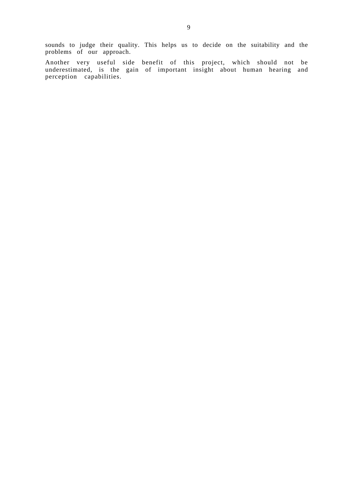sounds to judge their quality. This helps us to decide on the suitability and the problems of our approach.

Another very useful side benefit of this project, which should not be underestimated, is the gain of important insight about human hearing and perception capabilities.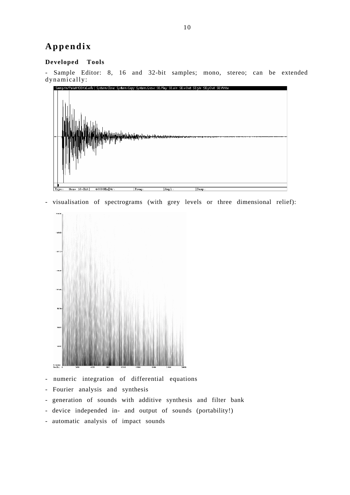# **Appendix**

#### **Developed Tools**

- Sample Editor: 8, 16 and 32-bit samples; mono, stereo; can be extended dynamically:



- visualisation of spectrograms (with grey levels or three dimensional relief):



- numeric integration of differential equations
- Fourier analysis and synthesis
- generation of sounds with additive synthesis and filter bank
- device independed in- and output of sounds (portability!)
- automatic analysis of impact sounds